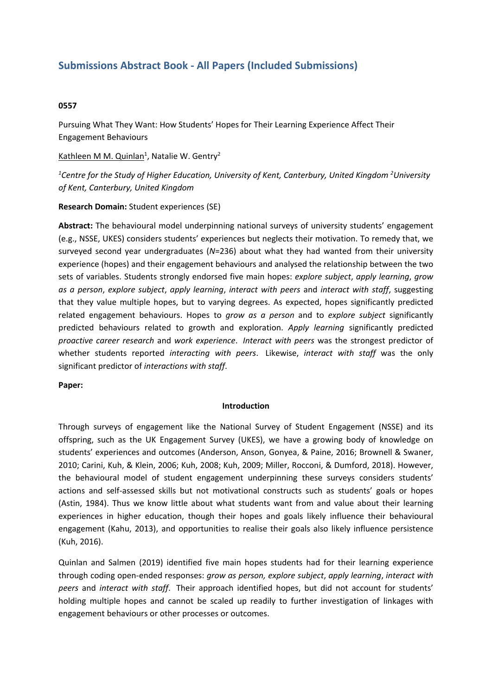# **Submissions Abstract Book - All Papers (Included Submissions)**

# **0557**

Pursuing What They Want: How Students' Hopes for Their Learning Experience Affect Their Engagement Behaviours

Kathleen M M. Quinlan<sup>1</sup>, Natalie W. Gentry<sup>2</sup>

*1 Centre for the Study of Higher Education, University of Kent, Canterbury, United Kingdom <sup>2</sup> University of Kent, Canterbury, United Kingdom*

# **Research Domain:** Student experiences (SE)

**Abstract:** The behavioural model underpinning national surveys of university students' engagement (e.g., NSSE, UKES) considers students' experiences but neglects their motivation. To remedy that, we surveyed second year undergraduates (*N*=236) about what they had wanted from their university experience (hopes) and their engagement behaviours and analysed the relationship between the two sets of variables. Students strongly endorsed five main hopes: *explore subject*, *apply learning*, *grow as <sup>a</sup> person*, *explore subject*, *apply learning*, *interact with peers* and *interact with staff*, suggesting that they value multiple hopes, but to varying degrees. As expected, hopes significantly predicted related engagement behaviours. Hopes to *grow as <sup>a</sup> person* and to *explore subject* significantly predicted behaviours related to growth and exploration. *Apply learning* significantly predicted *proactive career research* and *work experience*. *Interact with peers* was the strongest predictor of whether students reported *interacting with peers*. Likewise, *interact with staff* was the only significant predictor of *interactions with staff*.

# **Paper:**

# **Introduction**

Through surveys of engagement like the National Survey of Student Engagement (NSSE) and its offspring, such as the UK Engagement Survey (UKES), we have <sup>a</sup> growing body of knowledge on students' experiences and outcomes (Anderson, Anson, Gonyea, & Paine, 2016; Brownell & Swaner, 2010; Carini, Kuh, & Klein, 2006; Kuh, 2008; Kuh, 2009; Miller, Rocconi, & Dumford, 2018). However, the behavioural model of student engagement underpinning these surveys considers students' actions and self-assessed skills but not motivational constructs such as students' goals or hopes (Astin, 1984). Thus we know little about what students want from and value about their learning experiences in higher education, though their hopes and goals likely influence their behavioural engagement (Kahu, 2013), and opportunities to realise their goals also likely influence persistence (Kuh, 2016).

Quinlan and Salmen (2019) identified five main hopes students had for their learning experience through coding open-ended responses: *grow as person, explore subject*, *apply learning*, *interact with peers* and *interact with staff*. Their approach identified hopes, but did not account for students' holding multiple hopes and cannot be scaled up readily to further investigation of linkages with engagement behaviours or other processes or outcomes.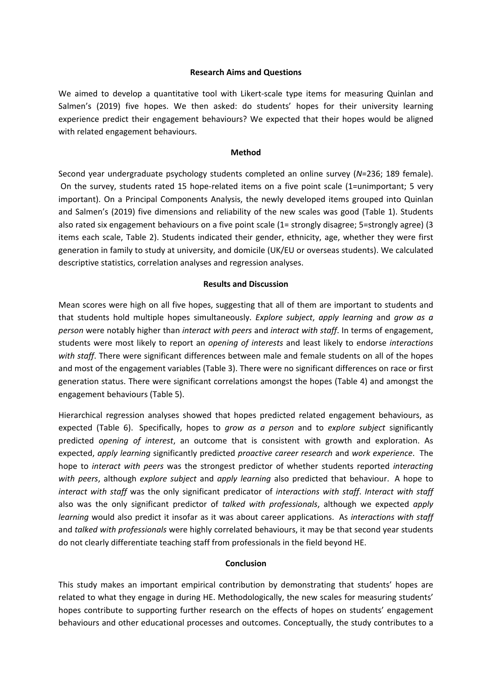# **Research Aims and Questions**

We aimed to develop <sup>a</sup> quantitative tool with Likert-scale type items for measuring Quinlan and Salmen's (2019) five hopes. We then asked: do students' hopes for their university learning experience predict their engagement behaviours? We expected that their hopes would be aligned with related engagement behaviours.

### **Method**

Second year undergraduate psychology students completed an online survey (*N*=236; 189 female). On the survey, students rated 15 hope-related items on <sup>a</sup> five point scale (1=unimportant; 5 very important). On <sup>a</sup> Principal Components Analysis, the newly developed items grouped into Quinlan and Salmen's (2019) five dimensions and reliability of the new scales was good (Table 1). Students also rated six engagement behaviours on <sup>a</sup> five point scale (1= strongly disagree; 5=strongly agree) (3 items each scale, Table 2). Students indicated their gender, ethnicity, age, whether they were first generation in family to study at university, and domicile (UK/EU or overseas students). We calculated descriptive statistics, correlation analyses and regression analyses.

### **Results and Discussion**

Mean scores were high on all five hopes, suggesting that all of them are important to students and that students hold multiple hopes simultaneously. *Explore subject*, *apply learning* and *grow as <sup>a</sup> person* were notably higher than *interact with peers* and *interact with staff*. In terms of engagement, students were most likely to report an *opening of interests* and least likely to endorse *interactions with staff*. There were significant differences between male and female students on all of the hopes and most of the engagement variables (Table 3). There were no significant differences on race or first generation status. There were significant correlations amongst the hopes (Table 4) and amongst the engagement behaviours (Table 5).

Hierarchical regression analyses showed that hopes predicted related engagement behaviours, as expected (Table 6). Specifically, hopes to *grow as <sup>a</sup> person* and to *explore subject* significantly predicted *opening of interest*, an outcome that is consistent with growth and exploration. As expected, *apply learning* significantly predicted *proactive career research* and *work experience*. The hope to *interact with peers* was the strongest predictor of whether students reported *interacting with peers*, although *explore subject* and *apply learning* also predicted that behaviour. A hope to *interact with staff* was the only significant predicator of *interactions with staff*. *Interact with staff* also was the only significant predictor of *talked with professionals*, although we expected *apply learning* would also predict it insofar as it was about career applications. As *interactions with staff* and *talked with professionals* were highly correlated behaviours, it may be that second year students do not clearly differentiate teaching staff from professionals in the field beyond HE.

# **Conclusion**

This study makes an important empirical contribution by demonstrating that students' hopes are related to what they engage in during HE. Methodologically, the new scales for measuring students' hopes contribute to supporting further research on the effects of hopes on students' engagement behaviours and other educational processes and outcomes. Conceptually, the study contributes to <sup>a</sup>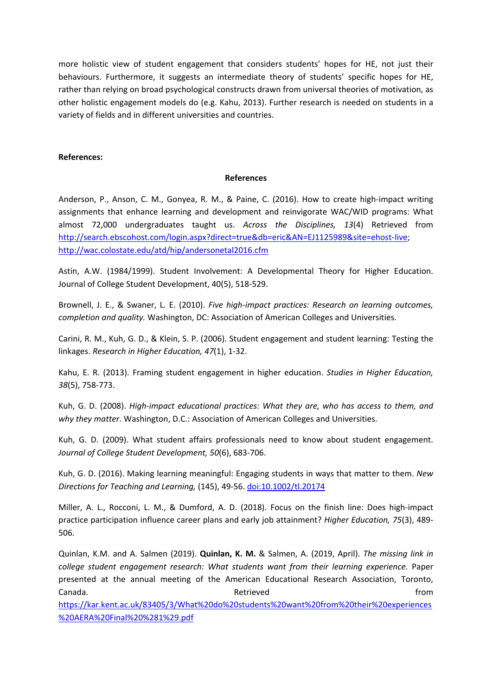more holistic view of student engagement that considers students' hopes for HE, not just their behaviours. Furthermore, it suggests an intermediate theory of students' specific hopes for HE, rather than relying on broad psychological constructs drawn from universal theories of motivation, as other holistic engagement models do (e.g. Kahu, 2013). Further research is needed on students in <sup>a</sup> variety of fields and in different universities and countries.

# **References:**

### **References**

Anderson, P., Anson, C. M., Gonyea, R. M., & Paine, C. (2016). How to create high-impact writing assignments that enhance learning and development and reinvigorate WAC/WID programs: What almost 72,000 undergraduates taught us. *Across the Disciplines, 13*(4) Retrieved from <http://search.ebscohost.com/login.aspx?direct=true&db=eric&AN=EJ1125989&site=ehost-live>; <http://wac.colostate.edu/atd/hip/andersonetal2016.cfm>

Astin, A.W. (1984/1999). Student Involvement: A Developmental Theory for Higher Education. Journal of College Student Development, 40(5), 518-529.

Brownell, J. E., & Swaner, L. E. (2010). *Five high-impact practices: Research on learning outcomes, completion and quality.* Washington, DC: Association of American Colleges and Universities.

Carini, R. M., Kuh, G. D., & Klein, S. P. (2006). Student engagement and student learning: Testing the linkages. *Research in Higher Education, 47*(1), 1-32.

Kahu, E. R. (2013). Framing student engagement in higher education. *Studies in Higher Education, 38*(5), 758-773.

Kuh, G. D. (2008). *High-impact educational practices: What they are, who has access to them, and why they matter*. Washington, D.C.: Association of American Colleges and Universities.

Kuh, G. D. (2009). What student affairs professionals need to know about student engagement. *Journal of College Student Development, 50*(6), 683-706.

Kuh, G. D. (2016). Making learning meaningful: Engaging students in ways that matter to them. *New Directions for Teaching and Learning,* (145), 49-56. [doi:10.1002/tl.20174](http://dx.doi.org/10.1002/tl.20174)

Miller, A. L., Rocconi, L. M., & Dumford, A. D. (2018). Focus on the finish line: Does high-impact practice participation influence career plans and early job attainment? *Higher Education, 75*(3), 489- 506.

Quinlan, K.M. and A. Salmen (2019). **Quinlan, K. M.** & Salmen, A. (2019, April). *The missing link in college student engagement research: What students want from their learning experience.* Paper presented at the annual meeting of the American Educational Research Association, Toronto, Canada. Retrieved from

[https://kar.kent.ac.uk/83405/3/What%20do%20students%20want%20from%20their%20experiences](https://kar.kent.ac.uk/83405/3/What%20do%20students%20want%20from%20their%20experiences%20AERA%20Final%20%281%29.pdf) [%20AERA%20Final%20%281%29.pdf](https://kar.kent.ac.uk/83405/3/What%20do%20students%20want%20from%20their%20experiences%20AERA%20Final%20%281%29.pdf)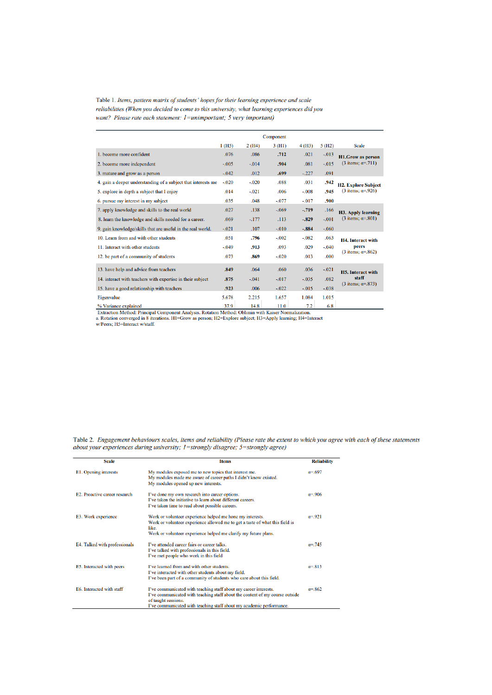Table 1. Items, pattern matrix of students' hopes for their learning experience and scale reliabilities (When you decided to come to this university, what learning experiences did you want? Please rate each statement: I=unimportant; 5 very important)

|                                                               |                       | Component |         |         |         |                               |
|---------------------------------------------------------------|-----------------------|-----------|---------|---------|---------|-------------------------------|
|                                                               | $1$ (H <sub>5</sub> ) | 2(H4)     | 3(H1)   | 4(H3)   | 5(H2)   | <b>Scale</b>                  |
| 1. become more confident                                      | .076                  | .086      | .712    | .021    | $-.013$ | <b>H1.Grow as person</b>      |
| 2. become more independent                                    | $-.005$               | $-.014$   | .904    | .081    | $-.015$ | (3 items; $\alpha = .711$ )   |
| 3. mature and grow as a person                                | $-.042$               | .012      | .699    | $-.227$ | .091    |                               |
| 4. gain a deeper understanding of a subject that interests me | $-.020$               | $-.020$   | .088    | .031    | .942    | <b>H2. Explore Subject</b>    |
| 5. explore in depth a subject that I enjoy                    | .014                  | $-.021$   | .006    | $-.008$ | .945    | $(3$ items; $\alpha = .926$ ) |
| 6. pursue my interest in my subject                           | .035                  | .048      | $-.077$ | $-.017$ | .900    |                               |
| 7. apply knowledge and skills to the real world               | .027                  | .138      | $-.069$ | $-719$  | .166    | <b>H3. Apply learning</b>     |
| 8. learn the knowledge and skills needed for a career.        | .069                  | $-.177$   | .113    | $-.829$ | $-.001$ | (3 items; $\alpha = .801$ )   |
| 9. gain knowledge/skills that are useful in the real world.   | $-.021$               | .107      | $-.010$ | $-.884$ | $-.060$ |                               |
| 10. Learn from and with other students                        | .051                  | .796      | $-.002$ | $-.082$ | .063    | <b>H4.</b> Interact with      |
| 11. Interact with other students                              | $-.049$               | .913      | .093    | .029    | $-.040$ | peers                         |
| 12. be part of a community of students                        | .073                  | .869      | $-.020$ | .013    | .000    | (3 items: $\alpha = .862$ )   |
| 13. have help and advice from teachers                        | .849                  | .064      | .060    | .036    | $-.021$ | <b>H5.</b> Interact with      |
| 14. interact with teachers with expertise in their subject    | .875                  | $-.041$   | $-.017$ | $-.035$ | .082    | staff                         |
| 15. have a good relationship with teachers                    | .923                  | .006      | $-.022$ | $-.015$ | $-.038$ | (3 items; $\alpha = .873$ )   |
| Eigenvalue                                                    | 5.678                 | 2.215     | 1.657   | 1.084   | 1.015   |                               |
| % Variance explained                                          | 37.9                  | 14.8      | 11.0    | 7.2     | 6.8     |                               |

The valuate explanated Principal Component Analysis. Rotation Method: Oblimin with Kaiser Normalization.<br>
a. Rotation converged in 8 iterations. H1=Grow as person; H2=Explore subject; H3=Apply learning; H4=Interact w/Peers

Table 2. Engagement behaviours scales, items and reliability (Please rate the extent to which you agree with each of these statements about your experiences during university; 1=strongly disagree; 5=strongly agree)

| <b>Scale</b>                         | <b>Ifems</b>                                                                                                                                                                                                                                    | <b>Reliability</b> |
|--------------------------------------|-------------------------------------------------------------------------------------------------------------------------------------------------------------------------------------------------------------------------------------------------|--------------------|
| E1. Opening interests                | My modules exposed me to new topics that interest me.<br>My modules made me aware of career paths I didn't know existed.<br>My modules opened up new interests.                                                                                 | $\alpha = .697$    |
| <b>E2.</b> Proactive career research | I've done my own research into career options.<br>I've taken the initiative to learn about different careers.<br>I've taken time to read about possible careers.                                                                                | $\alpha = 906$     |
| E3. Work experience                  | Work or volunteer experience helped me hone my interests.<br>Work or volunteer experience allowed me to get a taste of what this field is<br>like.<br>Work or volunteer experience helped me clarify my future plans.                           | $\alpha = 921$     |
| E4. Talked with professionals        | I've attended career fairs or career talks.<br>I've talked with professionals in this field.<br>I've met people who work in this field                                                                                                          | $\alpha = 745$     |
| E5. Interacted with peers            | I've learned from and with other students.<br>I've interacted with other students about my field.<br>I've been part of a community of students who care about this field.                                                                       | $\alpha = 813$     |
| E6. Interacted with staff            | I've communicated with teaching staff about my career interests.<br>I've communicated with teaching staff about the content of my course outside<br>of taught sessions.<br>I've communicated with teaching staff about my academic performance. | $\alpha = 862$     |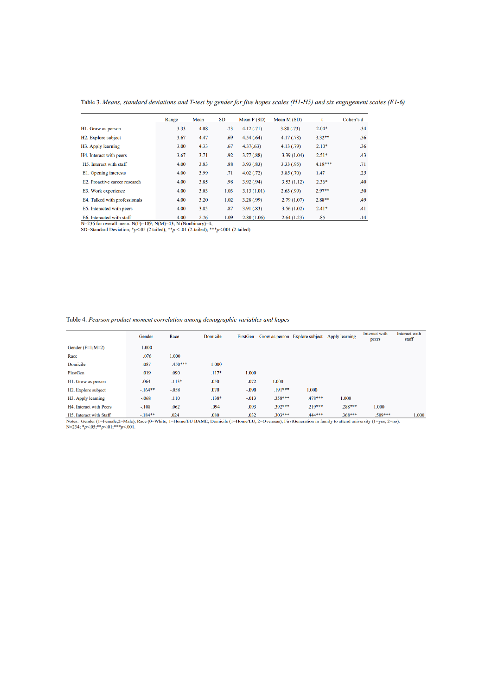Table 3. Means, standard deviations and T-test by gender for five hopes scales (H1-H5) and six engagement scales (E1-6)

|                                  | Range | Mean | SD   | Mean $F(SD)$ | Mean M (SD) |           | Cohen's d |
|----------------------------------|-------|------|------|--------------|-------------|-----------|-----------|
| H1. Grow as person               | 3.33  | 4.08 | .73  | 4.12(0.71)   | 3.88(.73)   | $2.04*$   | .34       |
| H <sub>2</sub> . Explore subject | 3.67  | 4.47 | .69  | 4.54(.64)    | 4.17(0.78)  | $3.32**$  | .56       |
| H3. Apply learning               | 3.00  | 4.33 | .67  | 4.37(.63)    | 4.13(0.79)  | $2.10*$   | .36       |
| H4. Interact with peers          | 3.67  | 3.71 | .92  | 3.77(.88)    | 3.39(1.04)  | $2.51*$   | .43       |
| H5. Interact with staff          | 4.00  | 3.83 | .88  | 3.93(.83)    | 3.33(.95)   | $4.18***$ | .71       |
| E1. Opening interests            | 4.00  | 3.99 | .71  | 4.02(0.72)   | 3.85(.70)   | 1.47      | .25       |
| E2. Proactive career research    | 4.00  | 3.85 | .98  | 3.92(.94)    | 3.53(1.12)  | $2.36*$   | .40       |
| E3. Work experience              | 4.00  | 3.03 | 1.03 | 3.13(1.01)   | 2.63(.99)   | $2.97**$  | .50       |
| E4. Talked with professionals    | 4.00  | 3.20 | 1.02 | 3.28(0.99)   | 2.79(1.07)  | $2.88**$  | .49       |
| E5. Interacted with peers        | 4.00  | 3.85 | .87  | 3.91(.83)    | 3.56(1.02)  | $2.41*$   | .41       |
| E6. Interacted with staff        | 4.00  | 2.76 | 1.09 | 2.80(1.06)   | 2.64(1.23)  | .85       | .14       |

1.09 LIERTER (WHIT SEE 1.09 LARET 1.09 LARET 1.09 LARET 1.09 LARET 1.09 N-2.36 (NORTHAT) 1.09 N-2.36 (NORTHAT) 1.109 LARET 1.09 N-2.36 (NORTHAT) 1.109 SS

#### Table 4. Pearson product moment correlation among demographic variables and hopes

|                                  | Gender    | Race      | Domicile |         |           | FirstGen Grow as person Explore subject Apply learning |           | Interact with<br>peers | Interact with<br>staff |
|----------------------------------|-----------|-----------|----------|---------|-----------|--------------------------------------------------------|-----------|------------------------|------------------------|
| Gender $(F=1;M=2)$               | 1.000     |           |          |         |           |                                                        |           |                        |                        |
| Race                             | .076      | 1.000     |          |         |           |                                                        |           |                        |                        |
| Domicile                         | .087      | $.450***$ | 1.000    |         |           |                                                        |           |                        |                        |
| FirstGen                         | .019      | .090      | $.117*$  | 1.000   |           |                                                        |           |                        |                        |
| H1. Grow as person               | $-.064$   | $.113*$   | .050     | $-.072$ | 1.000     |                                                        |           |                        |                        |
| H <sub>2</sub> . Explore subject | $-.164**$ | $-.058$   | .070     | $-.090$ | .191***   | 1.000                                                  |           |                        |                        |
| H <sub>3</sub> . Apply learning  | $-.068$   | .110      | $.138*$  | $-.013$ | $.358***$ | $.478***$                                              | 1.000     |                        |                        |
| H4. Interact with Peers          | $-.108$   | .062      | .094     | .093    | $.392***$ | $.219***$                                              | $.288***$ | 1.000                  |                        |
| H5. Interact with Staff          | $-.184**$ | .024      | .080     | .032    | $.303***$ | $.444***$                                              | $.368***$ | $.509***$              | 1.000                  |

Notes: General with State (I=Female; 2=Male); Race (0=White; 1=Home/EU BAME; Domicile (1=Home/EU; 2=Overseas); FirstGeneration in family to attend university (1=yes; 2=no).<br>N=234; \*p<05;\*\*p<01;\*\*\*p<01).